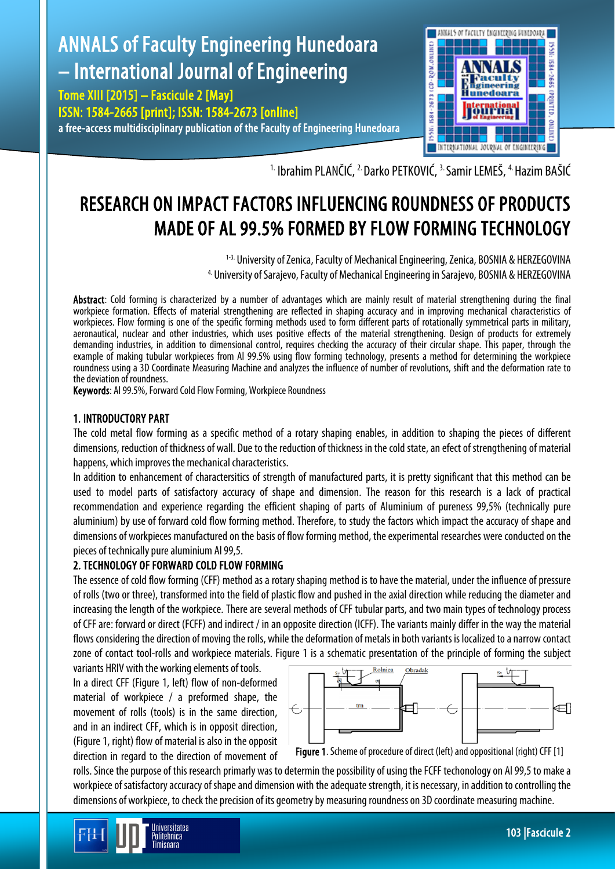## ANNALS of Faculty Engineering Hunedoara – International Journal of Engineering aculty igineering Tome XIII [2015] – Fascicule 2 [May] Hunedoara ISSN: 1584-2665 [print]; ISSN: 1584-2673 [online] a free-access multidisciplinary publication of the Faculty of Engineering Hunedoara



<sup>1.</sup> Ibrahim PLANČIĆ, <sup>2.</sup> Darko PETKOVIĆ, <sup>3.</sup> Samir LEMEŠ, <sup>4.</sup> Hazim BAŠIĆ

# RESEARCH ON IMPACT FACTORS INFLUENCING ROUNDNESS OF PRODUCTS MADE OF AL 99.5% FORMED BY FLOW FORMING TECHNOLOGY

<sup>1-3.</sup> University of Zenica, Faculty of Mechanical Engineering, Zenica, BOSNIA & HERZEGOVINA 4. University of Sarajevo, Faculty of Mechanical Engineering in Sarajevo, BOSNIA & HERZEGOVINA

Abstract: Cold forming is characterized by a number of advantages which are mainly result of material strengthening during the final workpiece formation. Effects of material strengthening are reflected in shaping accuracy and in improving mechanical characteristics of workpieces. Flow forming is one of the specific forming methods used to form different parts of rotationally symmetrical parts in military, aeronautical, nuclear and other industries, which uses positive effects of the material strengthening. Design of products for extremely demanding industries, in addition to dimensional control, requires checking the accuracy of their circular shape. This paper, through the example of making tubular workpieces from Al 99.5% using flow forming technology, presents a method for determining the workpiece roundness using a 3D Coordinate Measuring Machine and analyzes the influence of number of revolutions, shift and the deformation rate to the deviation of roundness.

Keywords: Al 99.5%, Forward Cold Flow Forming, Workpiece Roundness

## 1. INTRODUCTORY PART

The cold metal flow forming as a specific method of a rotary shaping enables, in addition to shaping the pieces of different dimensions, reduction of thickness of wall. Due to the reduction of thickness in the cold state, an efect of strengthening of material happens, which improves the mechanical characteristics.

In addition to enhancement of charactersitics of strength of manufactured parts, it is pretty significant that this method can be used to model parts of satisfactory accuracy of shape and dimension. The reason for this research is a lack of practical recommendation and experience regarding the efficient shaping of parts of Aluminium of pureness 99,5% (technically pure aluminium) by use of forward cold flow forming method. Therefore, to study the factors which impact the accuracy of shape and dimensions of workpieces manufactured on the basis of flow forming method, the experimental researches were conducted on the pieces of technically pure aluminium Al 99,5.

## 2. TECHNOLOGY OF FORWARD COLD FLOW FORMING

The essence of cold flow forming (CFF) method as a rotary shaping method is to have the material, under the influence of pressure of rolls (two or three), transformedinto the field of plastic flow and pushed in the axial direction while reducing the diameter and increasing the length of the workpiece. There are several methods of CFF tubular parts, and two main types of technology process of CFF are: forward or direct (FCFF) and indirect / in an opposite direction (ICFF). The variants mainly differ in the way the material flows considering the direction of moving the rolls, while the deformation of metals in both variants is localized to a narrow contact zone of contact tool-rolls and workpiece materials. Figure 1 is a schematic presentation of the principle of forming the subject

variants HRIV with the working elements of tools. In a direct CFF (Figure 1, left) flow of non-deformed material of workpiece / a preformed shape, the movement of rolls (tools) is in the same direction, and in an indirect CFF, which is in opposit direction, (Figure 1, right) flow of material is also in the opposit direction in regard to the direction of movement of





rolls. Since the purpose of this research primarly was to determin the possibility of using the FCFF techonology on Al 99,5 to make a workpiece of satisfactory accuracy of shape and dimension with the adequate strength, it is necessary, in addition to controlling the dimensions of workpiece, to check the precision of its geometry by measuring roundness on 3D coordinate measuring machine.

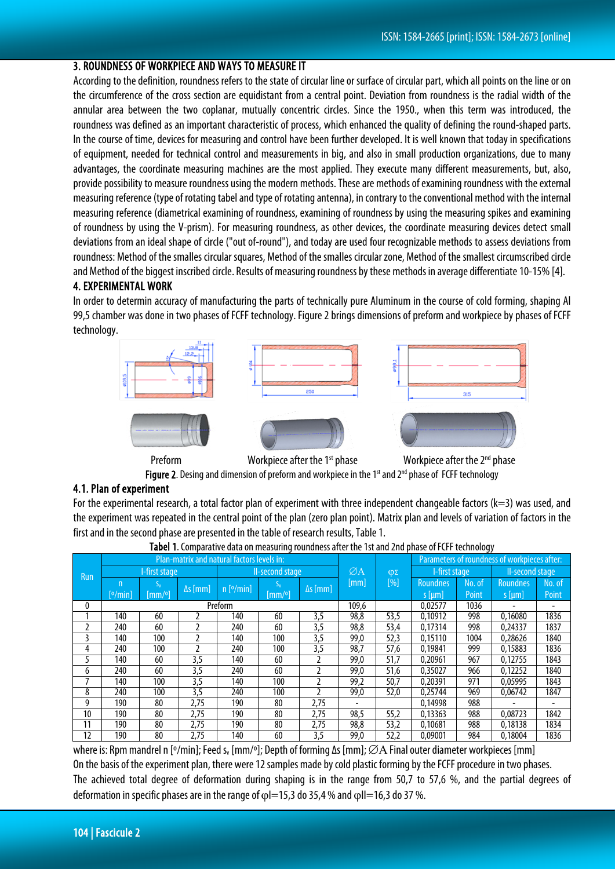## 3. ROUNDNESS OF WORKPIECE AND WAYS TO MEASURE IT

According to the definition, roundness refers to the state of circular line or surface of circular part, which all points on the line or on the circumference of the cross section are equidistant from a central point. Deviation from roundness is the radial width of the annular area between the two coplanar, mutually concentric circles. Since the 1950., when this term was introduced, the roundness was defined as an important characteristic of process, which enhanced the quality of defining the round-shaped parts. In the course of time, devices for measuring and control have been further developed. It is well known that today in specifications of equipment, needed for technical control and measurements in big, and also in small production organizations, due to many advantages, the coordinate measuring machines are the most applied. They execute many different measurements, but, also, provide possibility to measure roundness using the modern methods. These are methods of examining roundness with the external measuring reference (type of rotating tabel and type of rotating antenna), in contrary to the conventional method with the internal measuring reference (diametrical examining of roundness, examining of roundness by using the measuring spikes and examining of roundness by using the V-prism). For measuring roundness, as other devices, the coordinate measuring devices detect small deviations from an ideal shape of circle ("out of-round"), and today are used four recognizable methods to assess deviations from roundness: Method of the smalles circular squares, Method of the smalles circular zone, Method of the smallest circumscribed circle and Method of the biggest inscribed circle. Results of measuring roundness by these methods in average differentiate 10-15% [4].

#### 4. EXPERIMENTAL WORK

In order to determin accuracy of manufacturing the parts of technically pure Aluminum in the course of cold forming, shaping Al 99,5 chamber was done in two phases of FCFF technology. Figure 2 brings dimensions of preform and workpiece by phases of FCFF technology.



Figure 2. Desing and dimension of preform and workpiece in the 1<sup>st</sup> and 2<sup>nd</sup> phase of FCFF technology

#### 4.1. Plan of experiment

For the experimental research, a total factor plan of experiment with three independent changeable factors ( $k=3$ ) was used, and the experiment was repeated in the central point of the plan (zero plan point). Matrix plan and levels of variation of factors in the first and in the second phase are presented in the table of research results, Table 1.

| <b>Run</b> | Plan-matrix and natural factors levels in: |        |                 |                       |        |                 |                        |        | Parameters of roundness of workpieces after: |        |                 |        |
|------------|--------------------------------------------|--------|-----------------|-----------------------|--------|-----------------|------------------------|--------|----------------------------------------------|--------|-----------------|--------|
|            | -first stage                               |        |                 | II-second stage       |        |                 | ØA                     | $\phi$ | I-first stage                                |        | II-second stage |        |
|            | n                                          |        | $\Delta s$ [mm] | $n$ [ $\degree$ /min] |        | $\Delta s$ [mm] | $\lfloor$ mm $\rfloor$ | $[\%]$ | <b>Roundnes</b>                              | No. of | <b>Roundnes</b> | No. of |
|            | [ <sup>o</sup> /min]                       | [mm/°] |                 |                       | [mm/°] |                 |                        |        | $s$ [µm]                                     | Point  | $s$ [µm]        | Point  |
| 0          | Preform                                    |        |                 |                       |        |                 | 109,6                  |        | 0.02577                                      | 1036   |                 |        |
|            | 140                                        | 60     |                 | 140                   | 60     | 3,5             | 98,8                   | 53,5   | 0.10912                                      | 998    | 0.16080         | 1836   |
|            | 240                                        | 60     |                 | 240                   | 60     | 3,5             | 98,8                   | 53,4   | 0,17314                                      | 998    | 0,24337         | 1837   |
|            | 140                                        | 100    |                 | 140                   | 100    | 3,5             | 99,0                   | 52,3   | 0,15110                                      | 1004   | 0,28626         | 1840   |
| 4          | 240                                        | 100    |                 | 240                   | 100    | 3,5             | 98,7                   | 57,6   | 0.19841                                      | 999    | 0.15883         | 1836   |
|            | 140                                        | 60     | 3,5             | 140                   | 60     |                 | 99,0                   | 51,7   | 0.20961                                      | 967    | 0,12755         | 1843   |
| 6          | 240                                        | 60     | 3,5             | 240                   | 60     |                 | 99,0                   | 51,6   | 0,35027                                      | 966    | 0,12252         | 1840   |
|            | 140                                        | 100    | 3,5             | 140                   | 100    |                 | 99,2                   | 50,7   | 0.20391                                      | 971    | 0.05995         | 1843   |
| 8          | 240                                        | 100    | 3,5             | 240                   | 100    |                 | 99,0                   | 52,0   | 0.25744                                      | 969    | 0.06742         | 1847   |
| 9          | 190                                        | 80     | 2,75            | 190                   | 80     | 2,75            |                        |        | 0,14998                                      | 988    |                 |        |
| 10         | 190                                        | 80     | 2,75            | 190                   | 80     | 2,75            | 98,5                   | 55,2   | 0,13363                                      | 988    | 0.08723         | 1842   |
| 11         | 190                                        | 80     | 2,75            | 190                   | 80     | 2,75            | 98,8                   | 53,2   | 0,10681                                      | 988    | 0.18138         | 1834   |
| 12         | 190                                        | 80     | 2,75            | 140                   | 60     | 3,5             | 99.0                   | 52,2   | 0.09001                                      | 984    | 0.18004         | 1836   |

Tabel 1. Comparative data on measuring roundness after the 1st and 2nd phase of FCFF technology

where is: Rpm mandrel n [º/min]; Feed s<sub>v</sub> [mm/º]; Depth of forming Δs [mm]; ∅A Final outer diameter workpieces [mm] On the basis of the experiment plan, there were 12 samples made by cold plastic forming by the FCFF procedure in two phases. The achieved total degree of deformation during shaping is in the range from 50,7 to 57,6 %, and the partial degrees of deformation in specific phases are in the range of  $\phi$ I=15,3 do 35,4 % and  $\phi$ II=16,3 do 37 %.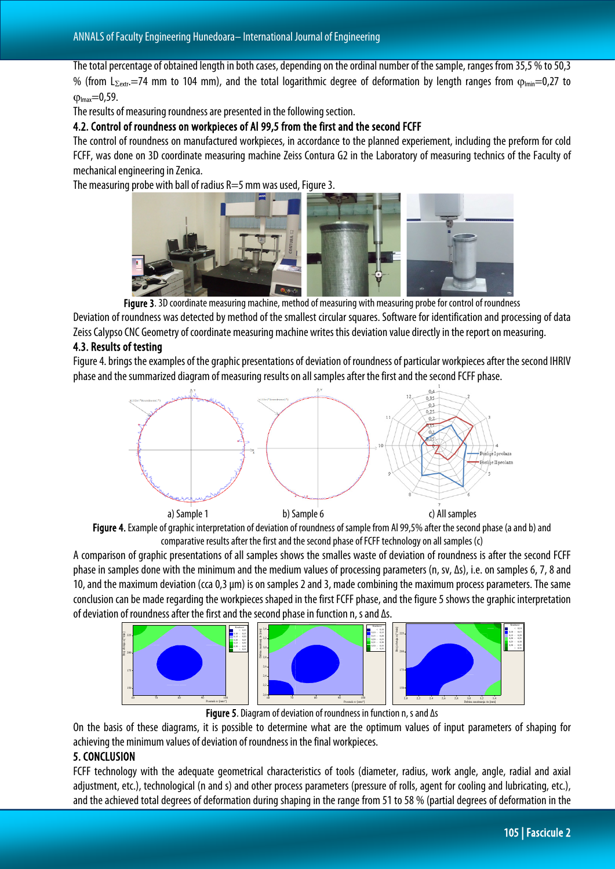The total percentage of obtained length in both cases, depending on the ordinal number of the sample, ranges from 35,5 % to 50,3 % (from L<sub>Σextr</sub>.=74 mm to 104 mm), and the total logarithmic degree of deformation by length ranges from  $\varphi_{lmn}=0.27$  to  $Q_{lmax} = 0.59$ .

The results of measuring roundness are presented in the following section.

4.2. Control of roundness on workpieces of Al 99,5 from the first and the second FCFF

The control of roundness on manufactured workpieces, in accordance to the planned experiement, including the preform for cold FCFF, was done on 3D coordinate measuring machine Zeiss Contura G2 in the Laboratory of measuring technics of the Faculty of mechanical engineering in Zenica.

The measuring probe with ball of radius  $R=5$  mm was used, Figure 3.



Figure 3. 3D coordinate measuring machine, method of measuring with measuring probe for control of roundness

Deviation of roundness was detected by method of the smallest circular squares. Software for identification and processing of data Zeiss Calypso CNC Geometry of coordinate measuring machine writes this deviation value directly in the report on measuring.

## 4.3. Results of testing

Figure 4. brings the examples of the graphic presentations of deviation of roundness of particular workpieces after the second IHRIV phase and the summarized diagram of measuring results on all samples after the first and the second FCFFphase.





A comparison of graphic presentations of all samples shows the smalles waste of deviation of roundness is after the second FCFF phase in samples done with the minimum and the medium values of processing parameters (n, sv, ∆s), i.e. on samples 6, 7, 8 and 10, and the maximum deviation (cca 0,3 µm) is on samples 2 and 3, made combining the maximum process parameters. The same conclusion can be made regarding the workpieces shaped in the first FCFF phase, and the figure 5 shows the graphic interpretation of deviation of roundness after the first and the second phase in function n, s and ∆s.



Figure 5. Diagram of deviation of roundness in function n, s and ∆s

On the basis of these diagrams, it is possible to determine what are the optimum values of input parameters of shaping for achieving the minimum values of deviation of roundness in the final workpieces.

## 5. CONCLUSION

FCFF technology with the adequate geometrical characteristics of tools (diameter, radius, work angle, angle, radial and axial adjustment, etc.), technological (n and s) and other process parameters (pressure of rolls, agent for cooling and lubricating, etc.), and the achieved total degrees of deformation during shaping in the range from 51 to 58 % (partial degrees of deformation in the